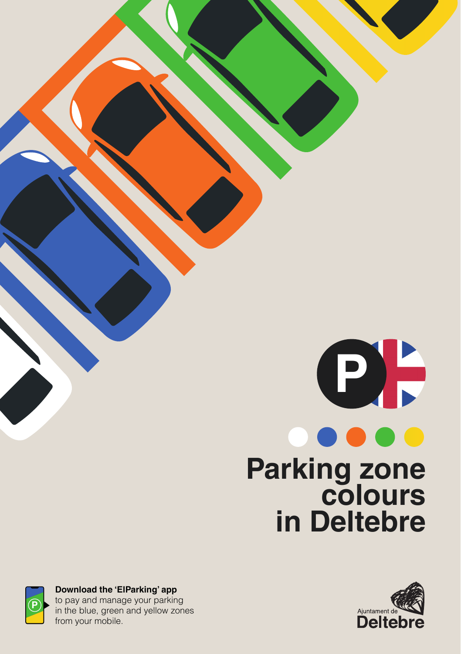# **P Parking zone colours in Deltebre**



**Download the 'ElParking' app**  to pay and manage your parking in the blue, green and yellow zones from your mobile.